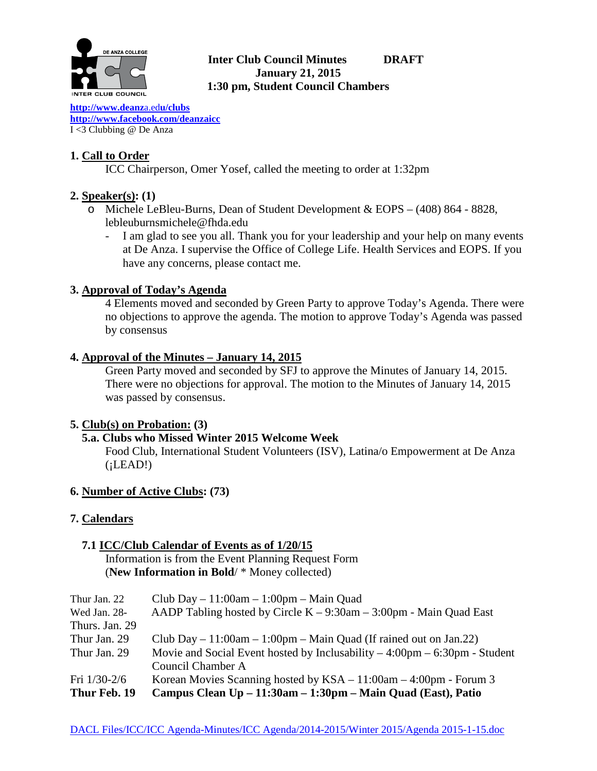

### **Inter Club Council Minutes DRAFT January 21, 2015 1:30 pm, Student Council Chambers**

**[http://www.deanz](http://www.deanza.edu/clubs)**a.ed**u/clubs [http://www.facebook.com/deanzaicc](http://www.facebook.com/home.php%23!/group.php?gid=59034552686)** I <3 Clubbing @ De Anza

# **1. Call to Order**

ICC Chairperson, Omer Yosef, called the meeting to order at 1:32pm

## **2. Speaker(s): (1)**

- o Michele LeBleu-Burns, Dean of Student Development & EOPS (408) 864 8828, lebleuburnsmichele@fhda.edu
	- I am glad to see you all. Thank you for your leadership and your help on many events at De Anza. I supervise the Office of College Life. Health Services and EOPS. If you have any concerns, please contact me.

### **3. Approval of Today's Agenda**

4 Elements moved and seconded by Green Party to approve Today's Agenda. There were no objections to approve the agenda. The motion to approve Today's Agenda was passed by consensus

### **4. Approval of the Minutes – January 14, 2015**

Green Party moved and seconded by SFJ to approve the Minutes of January 14, 2015. There were no objections for approval. The motion to the Minutes of January 14, 2015 was passed by consensus.

### **5. Club(s) on Probation: (3)**

### **5.a. Clubs who Missed Winter 2015 Welcome Week**

Food Club, International Student Volunteers (ISV), Latina/o Empowerment at De Anza  $(iLEAD!)$ 

### **6. Number of Active Clubs: (73)**

# **7. Calendars**

### **7.1 ICC/Club Calendar of Events as of 1/20/15** Information is from the Event Planning Request Form (**New Information in Bold**/ \* Money collected)

| Thur Jan. 22   | Club Day $-11:00$ am $-1:00$ pm $-$ Main Quad                                               |
|----------------|---------------------------------------------------------------------------------------------|
| Wed Jan. 28-   | AADP Tabling hosted by Circle $K - 9:30$ am $- 3:00$ pm - Main Quad East                    |
| Thurs. Jan. 29 |                                                                                             |
| Thur Jan. 29   | Club Day $-11:00$ am $-1:00$ pm $-$ Main Quad (If rained out on Jan.22)                     |
| Thur Jan. 29   | Movie and Social Event hosted by Inclusability $-4:00 \text{pm} - 6:30 \text{pm}$ - Student |
|                | Council Chamber A                                                                           |
| Fri $1/30-2/6$ | Korean Movies Scanning hosted by $KSA - 11:00$ am $- 4:00$ pm - Forum 3                     |
| Thur Feb. 19   | Campus Clean Up – 11:30am – 1:30pm – Main Quad (East), Patio                                |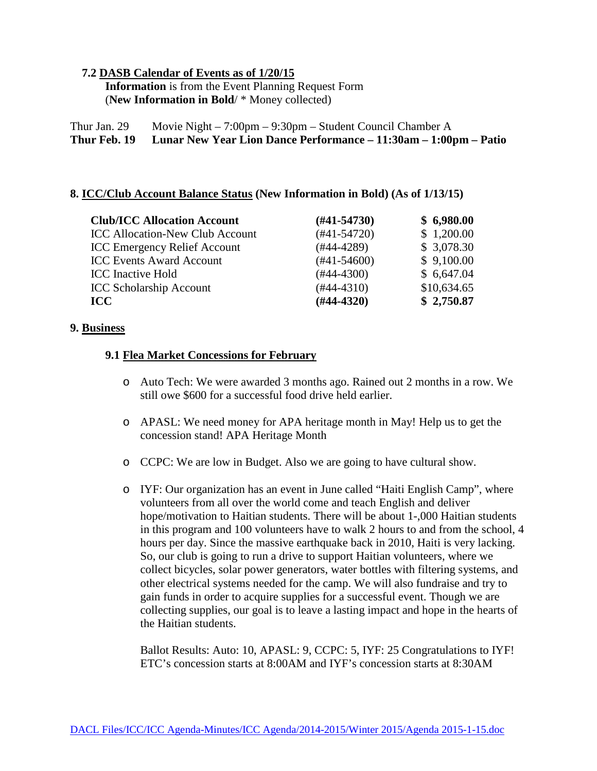### **7.2 DASB Calendar of Events as of 1/20/15**

 **Information** is from the Event Planning Request Form (**New Information in Bold**/ \* Money collected)

Thur Jan. 29 Movie Night – 7:00pm – 9:30pm – Student Council Chamber A **Thur Feb. 19 Lunar New Year Lion Dance Performance – 11:30am – 1:00pm – Patio**

### **8. ICC/Club Account Balance Status (New Information in Bold) (As of 1/13/15)**

| <b>Club/ICC Allocation Account</b>     | $(\#41 - 54730)$ | \$6,980.00  |
|----------------------------------------|------------------|-------------|
| <b>ICC Allocation-New Club Account</b> | $(#41-54720)$    | \$1,200.00  |
| <b>ICC Emergency Relief Account</b>    | $(#44-4289)$     | \$3,078.30  |
| <b>ICC Events Award Account</b>        | $(\#41 - 54600)$ | \$9,100.00  |
| <b>ICC</b> Inactive Hold               | $(#44-4300)$     | \$6,647.04  |
| <b>ICC Scholarship Account</b>         | $(#44-4310)$     | \$10,634.65 |
| <b>ICC</b>                             | $(#44-4320)$     | \$2,750.87  |

#### **9. Business**

### **9.1 Flea Market Concessions for February**

- o Auto Tech: We were awarded 3 months ago. Rained out 2 months in a row. We still owe \$600 for a successful food drive held earlier.
- o APASL: We need money for APA heritage month in May! Help us to get the concession stand! APA Heritage Month
- o CCPC: We are low in Budget. Also we are going to have cultural show.
- o IYF: Our organization has an event in June called "Haiti English Camp", where volunteers from all over the world come and teach English and deliver hope/motivation to Haitian students. There will be about 1-,000 Haitian students in this program and 100 volunteers have to walk 2 hours to and from the school, 4 hours per day. Since the massive earthquake back in 2010, Haiti is very lacking. So, our club is going to run a drive to support Haitian volunteers, where we collect bicycles, solar power generators, water bottles with filtering systems, and other electrical systems needed for the camp. We will also fundraise and try to gain funds in order to acquire supplies for a successful event. Though we are collecting supplies, our goal is to leave a lasting impact and hope in the hearts of the Haitian students.

 Ballot Results: Auto: 10, APASL: 9, CCPC: 5, IYF: 25 Congratulations to IYF! ETC's concession starts at 8:00AM and IYF's concession starts at 8:30AM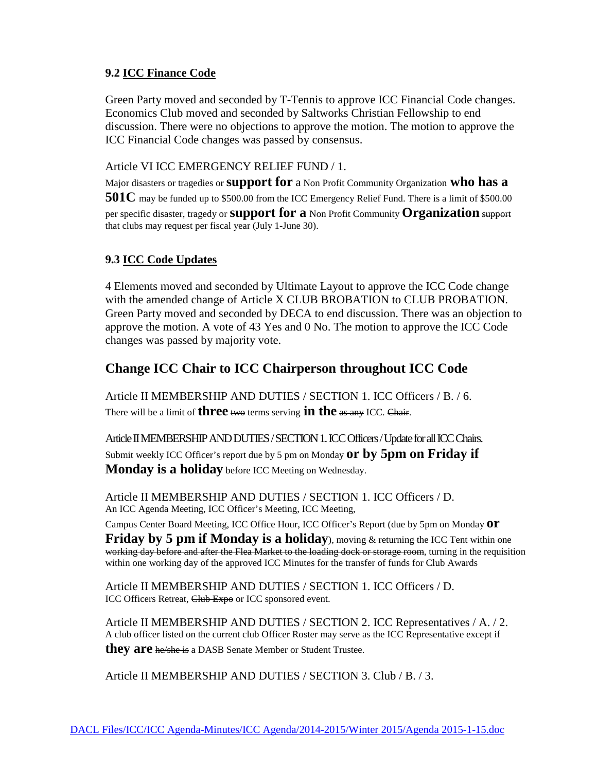### **9.2 ICC Finance Code**

Green Party moved and seconded by T-Tennis to approve ICC Financial Code changes. Economics Club moved and seconded by Saltworks Christian Fellowship to end discussion. There were no objections to approve the motion. The motion to approve the ICC Financial Code changes was passed by consensus.

Article VI ICC EMERGENCY RELIEF FUND / 1.

Major disasters or tragedies or **support for** a Non Profit Community Organization **who has a 501C** may be funded up to \$500.00 from the ICC Emergency Relief Fund. There is a limit of \$500.00 per specific disaster, tragedy or **support for a** Non Profit Community **Organization** support that clubs may request per fiscal year (July 1-June 30).

### **9.3 ICC Code Updates**

4 Elements moved and seconded by Ultimate Layout to approve the ICC Code change with the amended change of Article X CLUB BROBATION to CLUB PROBATION. Green Party moved and seconded by DECA to end discussion. There was an objection to approve the motion. A vote of 43 Yes and 0 No. The motion to approve the ICC Code changes was passed by majority vote.

# **Change ICC Chair to ICC Chairperson throughout ICC Code**

Article II MEMBERSHIP AND DUTIES / SECTION 1. ICC Officers / B. / 6. There will be a limit of **three** two terms serving **in the** as any ICC. Chair.

Article II MEMBERSHIP AND DUTIES / SECTION 1. ICC Officers / Update for all ICC Chairs. Submit weekly ICC Officer's report due by 5 pm on Monday **or by 5pm on Friday if Monday is a holiday** before ICC Meeting on Wednesday.

Article II MEMBERSHIP AND DUTIES / SECTION 1. ICC Officers / D. An ICC Agenda Meeting, ICC Officer's Meeting, ICC Meeting,

Campus Center Board Meeting, ICC Office Hour, ICC Officer's Report (due by 5pm on Monday **or**

**Friday by 5 pm if Monday is a holiday**), moving & returning the ICC Tent within one working day before and after the Flea Market to the loading dock or storage room, turning in the requisition within one working day of the approved ICC Minutes for the transfer of funds for Club Awards

Article II MEMBERSHIP AND DUTIES / SECTION 1. ICC Officers / D. ICC Officers Retreat, Club Expo or ICC sponsored event.

Article II MEMBERSHIP AND DUTIES / SECTION 2. ICC Representatives / A. / 2. A club officer listed on the current club Officer Roster may serve as the ICC Representative except if **they are** he/she is a DASB Senate Member or Student Trustee.

Article II MEMBERSHIP AND DUTIES / SECTION 3. Club / B. / 3.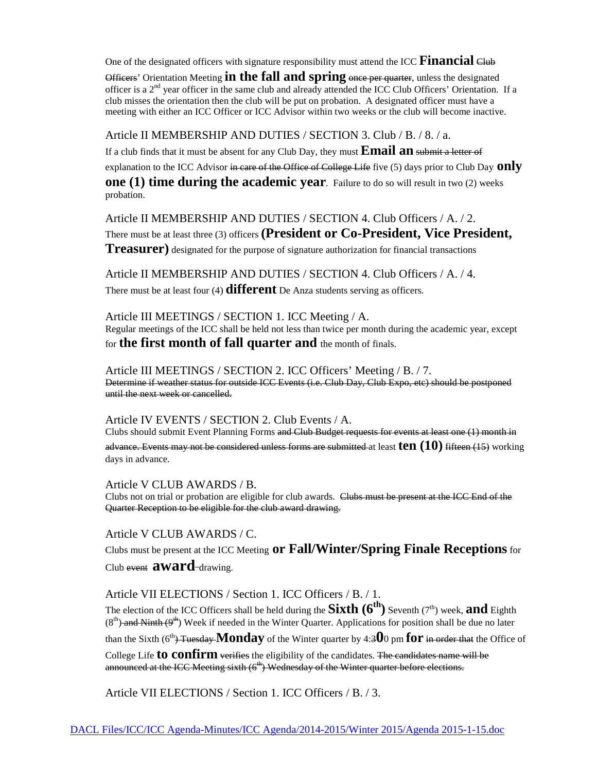One of the designated officers with signature responsibility must attend the ICC Financial Club

Officers' Orientation Meeting **in the fall and spring** once per quarter, unless the designated officer is a  $2<sup>nd</sup>$  year officer in the same club and already attended the ICC Club Officers' Orientation. If a club misses the orientation then the club will be put on probation. A designated officer must have a meeting with either an ICC Officer or ICC Advisor within two weeks or the club will become inactive.

#### Article II MEMBERSHIP AND DUTIES / SECTION 3. Club / B. / 8. / a.

If a club finds that it must be absent for any Club Day, they must **Email an** submit a letter of explanation to the ICC Advisor in care of the Office of College Life five (5) days prior to Club Day **Only one (1) time during the academic year**. Failure to do so will result in two (2) weeks probation.

Article II MEMBERSHIP AND DUTIES / SECTION 4. Club Officers / A. / 2. There must be at least three (3) officers **(President or Co-President, Vice President, Treasurer)** designated for the purpose of signature authorization for financial transactions

Article II MEMBERSHIP AND DUTIES / SECTION 4. Club Officers / A. / 4. There must be at least four (4) **different** De Anza students serving as officers.

Article III MEETINGS / SECTION 1. ICC Meeting / A. Regular meetings of the ICC shall be held not less than twice per month during the academic year, except for **the first month of fall quarter and** the month of finals.

Article III MEETINGS / SECTION 2. ICC Officers' Meeting / B. / 7. Determine if weather status for outside ICC Events (i.e. Club Day, Club Expo, etc) should be postponed until the next week or cancelled.

Article IV EVENTS / SECTION 2. Club Events / A. Clubs should submit Event Planning Forms and Club Budget requests for events at least one (1) month in

advance. Events may not be considered unless forms are submitted at least **ten (10)** fifteen (15) working days in advance.

Article V CLUB AWARDS / B. Clubs not on trial or probation are eligible for club awards. Clubs must be present at the ICC End of the Quarter Reception to be eligible for the club award drawing.

Article V CLUB AWARDS / C.

Clubs must be present at the ICC Meeting **or Fall/Winter/Spring Finale Receptions**for Club event **award**-drawing.

Article VII ELECTIONS / Section 1. ICC Officers / B. / 1.

The election of the ICC Officers shall be held during the **Sixth**  $(6^{th})$  Seventh ( $7^{th}$ ) week, **and** Eighth  $(8<sup>th</sup>)$  and Ninth  $(9<sup>th</sup>)$  Week if needed in the Winter Quarter. Applications for position shall be due no later than the Sixth  $(6^{th})$ -Tuesday **Monday** of the Winter quarter by 4:300 pm **for** in order that the Office of

College Life **to confirm** verifies the eligibility of the candidates. The candidates name will be announced at the ICC Meeting sixth  $(6<sup>th</sup>)$  Wednesday of the Winter quarter before elections.

Article VII ELECTIONS / Section 1. ICC Officers / B. / 3.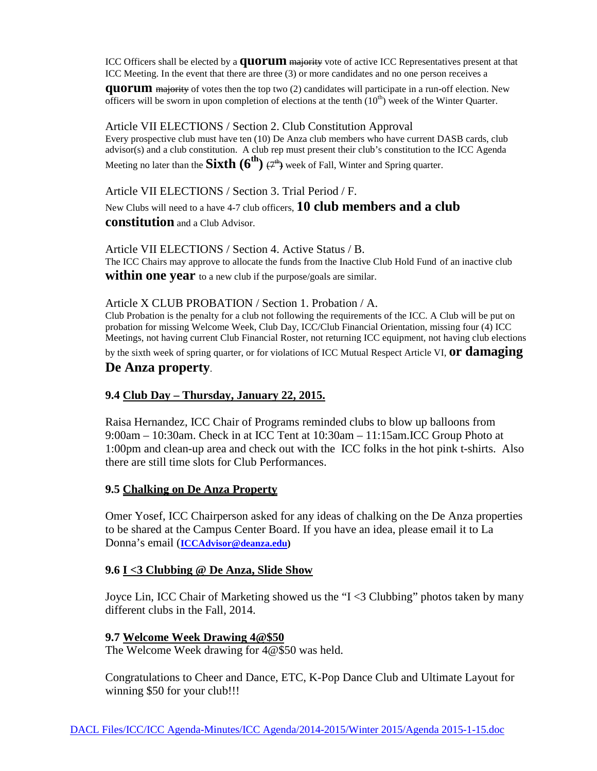ICC Officers shall be elected by a **quorum** majority vote of active ICC Representatives present at that ICC Meeting. In the event that there are three (3) or more candidates and no one person receives a

**quorum** majority of votes then the top two (2) candidates will participate in a run-off election. New officers will be sworn in upon completion of elections at the tenth  $(10<sup>th</sup>)$  week of the Winter Quarter.

Article VII ELECTIONS / Section 2. Club Constitution Approval

Every prospective club must have ten (10) De Anza club members who have current DASB cards, club advisor(s) and a club constitution. A club rep must present their club's constitution to the ICC Agenda Meeting no later than the **Sixth**  $(6^{th})$   $\varphi^{th}$  week of Fall, Winter and Spring quarter.

Article VII ELECTIONS / Section 3. Trial Period / F.

New Clubs will need to a have 4-7 club officers, **10 club members and a club** 

**constitution** and a Club Advisor.

Article VII ELECTIONS / Section 4. Active Status / B.

The ICC Chairs may approve to allocate the funds from the Inactive Club Hold Fund of an inactive club

**within one year** to a new club if the purpose/goals are similar.

#### Article X CLUB PROBATION / Section 1. Probation / A.

Club Probation is the penalty for a club not following the requirements of the ICC. A Club will be put on probation for missing Welcome Week, Club Day, ICC/Club Financial Orientation, missing four (4) ICC Meetings, not having current Club Financial Roster, not returning ICC equipment, not having club elections

by the sixth week of spring quarter, or for violations of ICC Mutual Respect Article VI, **or damaging** 

### **De Anza property**.

### **9.4 Club Day – Thursday, January 22, 2015.**

Raisa Hernandez, ICC Chair of Programs reminded clubs to blow up balloons from 9:00am – 10:30am. Check in at ICC Tent at 10:30am – 11:15am.ICC Group Photo at 1:00pm and clean-up area and check out with the ICC folks in the hot pink t-shirts. Also there are still time slots for Club Performances.

### **9.5 Chalking on De Anza Property**

Omer Yosef, ICC Chairperson asked for any ideas of chalking on the De Anza properties to be shared at the Campus Center Board. If you have an idea, please email it to La Donna's email (**[ICCAdvisor@deanza.edu\)](mailto:ICCAdvisor@deanza.edu)**

### **9.6 I <3 Clubbing @ De Anza, Slide Show**

Joyce Lin, ICC Chair of Marketing showed us the "I <3 Clubbing" photos taken by many different clubs in the Fall, 2014.

### **9.7 Welcome Week Drawing 4@\$50**

The Welcome Week drawing for 4@\$50 was held.

Congratulations to Cheer and Dance, ETC, K-Pop Dance Club and Ultimate Layout for winning \$50 for your club!!!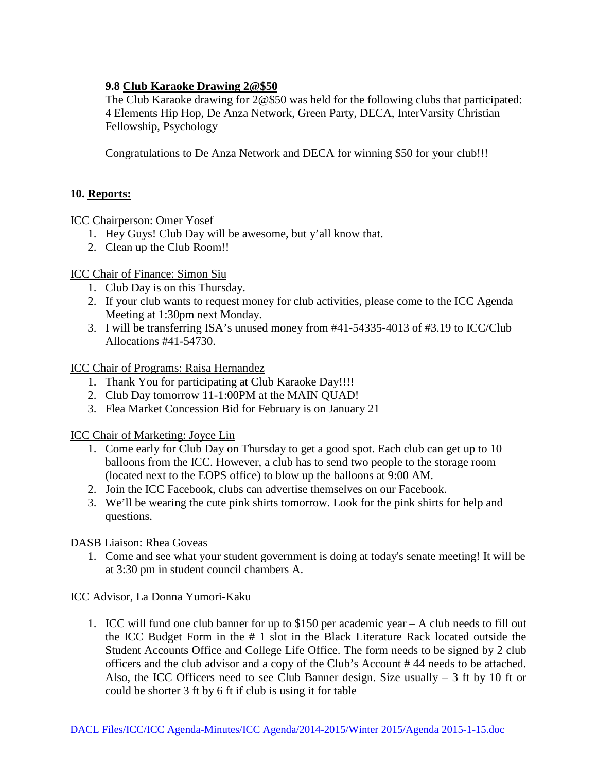### **9.8 Club Karaoke Drawing 2@\$50**

The Club Karaoke drawing for 2@\$50 was held for the following clubs that participated: 4 Elements Hip Hop, De Anza Network, Green Party, DECA, InterVarsity Christian Fellowship, Psychology

Congratulations to De Anza Network and DECA for winning \$50 for your club!!!

## **10. Reports:**

ICC Chairperson: Omer Yosef

- 1. Hey Guys! Club Day will be awesome, but y'all know that.
- 2. Clean up the Club Room!!

ICC Chair of Finance: Simon Siu

- 1. Club Day is on this Thursday.
- 2. If your club wants to request money for club activities, please come to the ICC Agenda Meeting at 1:30pm next Monday.
- 3. I will be transferring ISA's unused money from #41-54335-4013 of #3.19 to ICC/Club Allocations #41-54730.

ICC Chair of Programs: Raisa Hernandez

- 1. Thank You for participating at Club Karaoke Day!!!!
- 2. Club Day tomorrow 11-1:00PM at the MAIN QUAD!
- 3. Flea Market Concession Bid for February is on January 21

ICC Chair of Marketing: Joyce Lin

- 1. Come early for Club Day on Thursday to get a good spot. Each club can get up to 10 balloons from the ICC. However, a club has to send two people to the storage room (located next to the EOPS office) to blow up the balloons at 9:00 AM.
- 2. Join the ICC Facebook, clubs can advertise themselves on our Facebook.
- 3. We'll be wearing the cute pink shirts tomorrow. Look for the pink shirts for help and questions.

DASB Liaison: Rhea Goveas

1. Come and see what your student government is doing at today's senate meeting! It will be at 3:30 pm in student council chambers A.

ICC Advisor, La Donna Yumori-Kaku

1. ICC will fund one club banner for up to \$150 per academic year – A club needs to fill out the ICC Budget Form in the # 1 slot in the Black Literature Rack located outside the Student Accounts Office and College Life Office. The form needs to be signed by 2 club officers and the club advisor and a copy of the Club's Account # 44 needs to be attached. Also, the ICC Officers need to see Club Banner design. Size usually  $-3$  ft by 10 ft or could be shorter 3 ft by 6 ft if club is using it for table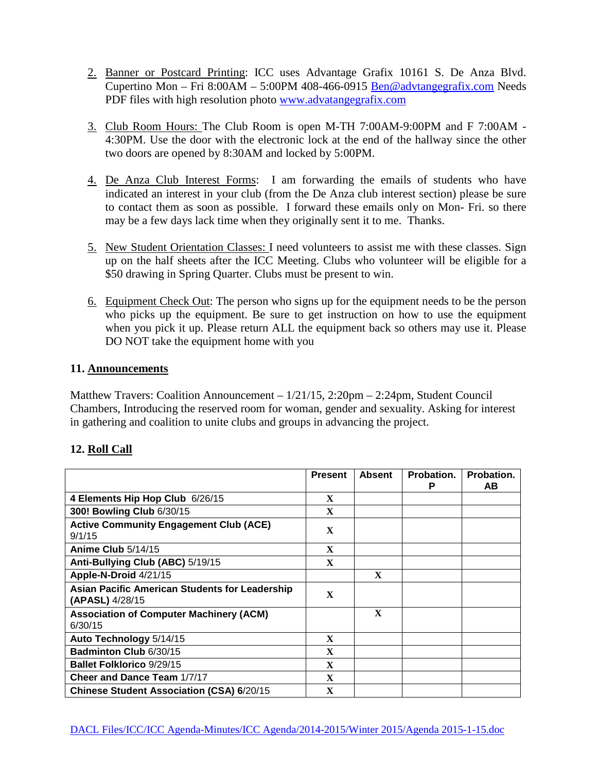- 2. Banner or Postcard Printing: ICC uses Advantage Grafix 10161 S. De Anza Blvd. Cupertino Mon – Fri 8:00AM – 5:00PM 408-466-0915 [Ben@advtangegrafix.com](mailto:Ben@advtangegrafix.com) Needs PDF files with high resolution photo [www.advatangegrafix.com](http://www.advatangegrafix.com/)
- 3. Club Room Hours: The Club Room is open M-TH 7:00AM-9:00PM and F 7:00AM 4:30PM. Use the door with the electronic lock at the end of the hallway since the other two doors are opened by 8:30AM and locked by 5:00PM.
- 4. De Anza Club Interest Forms: I am forwarding the emails of students who have indicated an interest in your club (from the De Anza club interest section) please be sure to contact them as soon as possible. I forward these emails only on Mon- Fri. so there may be a few days lack time when they originally sent it to me. Thanks.
- 5. New Student Orientation Classes: I need volunteers to assist me with these classes. Sign up on the half sheets after the ICC Meeting. Clubs who volunteer will be eligible for a \$50 drawing in Spring Quarter. Clubs must be present to win.
- 6. Equipment Check Out: The person who signs up for the equipment needs to be the person who picks up the equipment. Be sure to get instruction on how to use the equipment when you pick it up. Please return ALL the equipment back so others may use it. Please DO NOT take the equipment home with you

### **11. Announcements**

Matthew Travers: Coalition Announcement – 1/21/15, 2:20pm – 2:24pm, Student Council Chambers, Introducing the reserved room for woman, gender and sexuality. Asking for interest in gathering and coalition to unite clubs and groups in advancing the project.

|                                                                          | <b>Present</b> | <b>Absent</b> | Probation.<br>P | Probation.<br>AB. |
|--------------------------------------------------------------------------|----------------|---------------|-----------------|-------------------|
| 4 Elements Hip Hop Club 6/26/15                                          | $\mathbf{x}$   |               |                 |                   |
| 300! Bowling Club 6/30/15                                                | $\mathbf{x}$   |               |                 |                   |
| <b>Active Community Engagement Club (ACE)</b><br>9/1/15                  | $\mathbf x$    |               |                 |                   |
| Anime Club 5/14/15                                                       | $\mathbf{x}$   |               |                 |                   |
| Anti-Bullying Club (ABC) 5/19/15                                         | X              |               |                 |                   |
| Apple-N-Droid 4/21/15                                                    |                | $\mathbf x$   |                 |                   |
| <b>Asian Pacific American Students for Leadership</b><br>(APASL) 4/28/15 | $\mathbf x$    |               |                 |                   |
| <b>Association of Computer Machinery (ACM)</b><br>6/30/15                |                | $\mathbf X$   |                 |                   |
| Auto Technology 5/14/15                                                  | $\mathbf x$    |               |                 |                   |
| <b>Badminton Club 6/30/15</b>                                            | $\mathbf x$    |               |                 |                   |
| <b>Ballet Folklorico 9/29/15</b>                                         | X              |               |                 |                   |
| <b>Cheer and Dance Team 1/7/17</b>                                       | $\mathbf x$    |               |                 |                   |
| <b>Chinese Student Association (CSA) 6/20/15</b>                         | $\mathbf x$    |               |                 |                   |

# **12. Roll Call**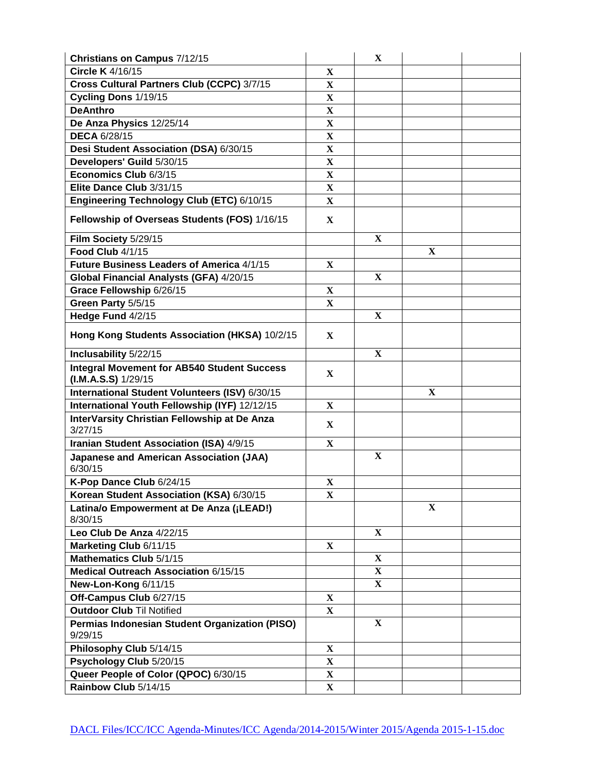| Christians on Campus 7/12/15                                               |                         | X            |              |  |
|----------------------------------------------------------------------------|-------------------------|--------------|--------------|--|
| Circle K 4/16/15                                                           | $\mathbf{X}$            |              |              |  |
| Cross Cultural Partners Club (CCPC) 3/7/15                                 | $\mathbf X$             |              |              |  |
| Cycling Dons 1/19/15                                                       | $\mathbf X$             |              |              |  |
| <b>DeAnthro</b>                                                            | $\mathbf X$             |              |              |  |
| De Anza Physics 12/25/14                                                   | $\mathbf X$             |              |              |  |
| <b>DECA 6/28/15</b>                                                        | $\mathbf X$             |              |              |  |
| Desi Student Association (DSA) 6/30/15                                     | X                       |              |              |  |
| Developers' Guild 5/30/15                                                  | $\overline{\mathbf{X}}$ |              |              |  |
| Economics Club 6/3/15                                                      | $\mathbf{X}$            |              |              |  |
| Elite Dance Club 3/31/15                                                   | $\mathbf X$             |              |              |  |
| Engineering Technology Club (ETC) 6/10/15                                  | $\mathbf X$             |              |              |  |
| Fellowship of Overseas Students (FOS) 1/16/15                              | $\mathbf X$             |              |              |  |
| Film Society 5/29/15                                                       |                         | X            |              |  |
| Food Club 4/1/15                                                           |                         |              | $\mathbf X$  |  |
| Future Business Leaders of America 4/1/15                                  | X                       |              |              |  |
| Global Financial Analysts (GFA) 4/20/15                                    |                         | X            |              |  |
| Grace Fellowship 6/26/15                                                   | $\mathbf X$             |              |              |  |
| Green Party 5/5/15                                                         | $\mathbf{X}$            |              |              |  |
| Hedge Fund 4/2/15                                                          |                         | X            |              |  |
| Hong Kong Students Association (HKSA) 10/2/15                              | X                       |              |              |  |
| Inclusability 5/22/15                                                      |                         | $\mathbf{X}$ |              |  |
| <b>Integral Movement for AB540 Student Success</b><br>$(LM.A.S.S)$ 1/29/15 | $\mathbf{X}$            |              |              |  |
| International Student Volunteers (ISV) 6/30/15                             |                         |              | $\mathbf X$  |  |
| International Youth Fellowship (IYF) 12/12/15                              | $\mathbf{X}$            |              |              |  |
| InterVarsity Christian Fellowship at De Anza<br>3/27/15                    | X                       |              |              |  |
| Iranian Student Association (ISA) 4/9/15                                   | $\mathbf X$             |              |              |  |
| <b>Japanese and American Association (JAA)</b><br>6/30/15                  |                         | $\mathbf X$  |              |  |
| K-Pop Dance Club 6/24/15                                                   | $\mathbf X$             |              |              |  |
| Korean Student Association (KSA) 6/30/15                                   | $\mathbf X$             |              |              |  |
| Latina/o Empowerment at De Anza (¡LEAD!)<br>8/30/15                        |                         |              | $\mathbf{X}$ |  |
| Leo Club De Anza 4/22/15                                                   |                         | $\mathbf{X}$ |              |  |
| Marketing Club 6/11/15                                                     | $\mathbf X$             |              |              |  |
| Mathematics Club 5/1/15                                                    |                         | X            |              |  |
| Medical Outreach Association 6/15/15                                       |                         | $\mathbf X$  |              |  |
| New-Lon-Kong 6/11/15                                                       |                         | $\mathbf{X}$ |              |  |
| Off-Campus Club 6/27/15                                                    | X                       |              |              |  |
| <b>Outdoor Club Til Notified</b>                                           | X                       |              |              |  |
| Permias Indonesian Student Organization (PISO)<br>9/29/15                  |                         | $\mathbf{X}$ |              |  |
| Philosophy Club 5/14/15                                                    | $\mathbf X$             |              |              |  |
| Psychology Club 5/20/15                                                    | $\mathbf X$             |              |              |  |
| Queer People of Color (QPOC) 6/30/15                                       | $\mathbf X$             |              |              |  |
| Rainbow Club 5/14/15                                                       | $\mathbf X$             |              |              |  |